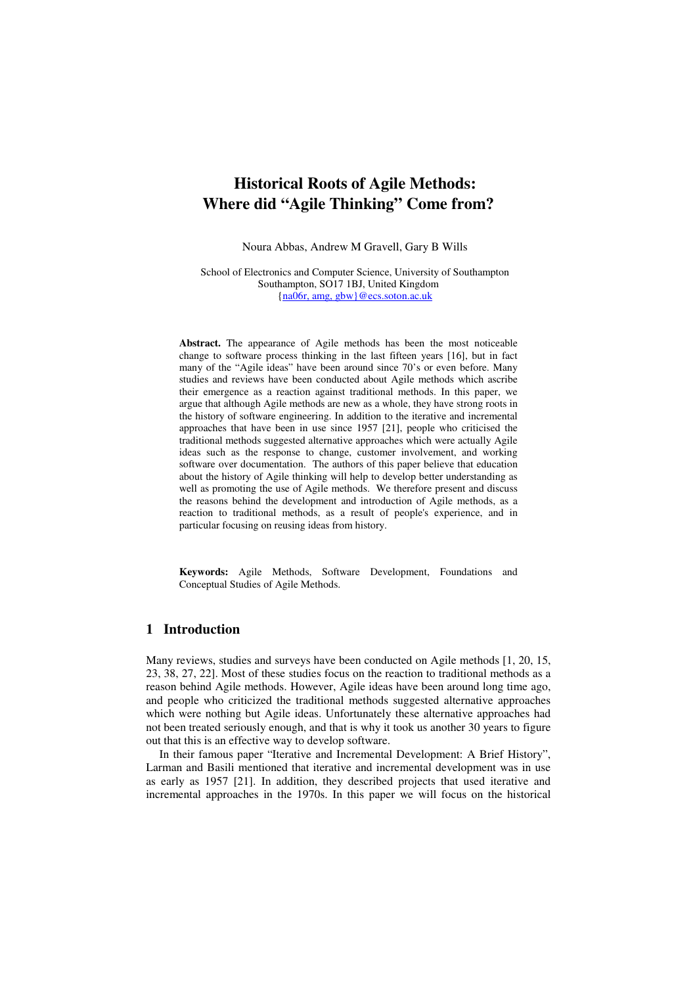# **Historical Roots of Agile Methods: Where did "Agile Thinking" Come from?**

Noura Abbas, Andrew M Gravell, Gary B Wills

School of Electronics and Computer Science, University of Southampton Southampton, SO17 1BJ, United Kingdom {na06r, amg, gbw}@ecs.soton.ac.uk

**Abstract.** The appearance of Agile methods has been the most noticeable change to software process thinking in the last fifteen years [16], but in fact many of the "Agile ideas" have been around since 70's or even before. Many studies and reviews have been conducted about Agile methods which ascribe their emergence as a reaction against traditional methods. In this paper, we argue that although Agile methods are new as a whole, they have strong roots in the history of software engineering. In addition to the iterative and incremental approaches that have been in use since 1957 [21], people who criticised the traditional methods suggested alternative approaches which were actually Agile ideas such as the response to change, customer involvement, and working software over documentation. The authors of this paper believe that education about the history of Agile thinking will help to develop better understanding as well as promoting the use of Agile methods. We therefore present and discuss the reasons behind the development and introduction of Agile methods, as a reaction to traditional methods, as a result of people's experience, and in particular focusing on reusing ideas from history.

**Keywords:** Agile Methods, Software Development, Foundations and Conceptual Studies of Agile Methods.

## **1 Introduction**

Many reviews, studies and surveys have been conducted on Agile methods [1, 20, 15, 23, 38, 27, 22]. Most of these studies focus on the reaction to traditional methods as a reason behind Agile methods. However, Agile ideas have been around long time ago, and people who criticized the traditional methods suggested alternative approaches which were nothing but Agile ideas. Unfortunately these alternative approaches had not been treated seriously enough, and that is why it took us another 30 years to figure out that this is an effective way to develop software.

In their famous paper "Iterative and Incremental Development: A Brief History", Larman and Basili mentioned that iterative and incremental development was in use as early as 1957 [21]. In addition, they described projects that used iterative and incremental approaches in the 1970s. In this paper we will focus on the historical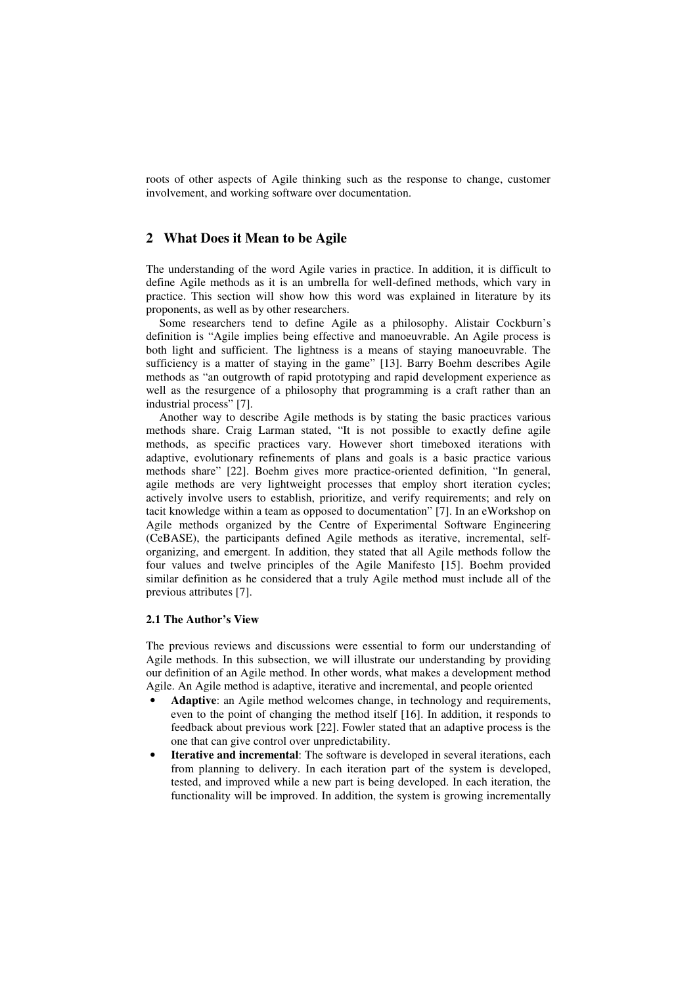roots of other aspects of Agile thinking such as the response to change, customer involvement, and working software over documentation.

### **2 What Does it Mean to be Agile**

The understanding of the word Agile varies in practice. In addition, it is difficult to define Agile methods as it is an umbrella for well-defined methods, which vary in practice. This section will show how this word was explained in literature by its proponents, as well as by other researchers.

Some researchers tend to define Agile as a philosophy. Alistair Cockburn's definition is "Agile implies being effective and manoeuvrable. An Agile process is both light and sufficient. The lightness is a means of staying manoeuvrable. The sufficiency is a matter of staying in the game" [13]. Barry Boehm describes Agile methods as "an outgrowth of rapid prototyping and rapid development experience as well as the resurgence of a philosophy that programming is a craft rather than an industrial process" [7].

Another way to describe Agile methods is by stating the basic practices various methods share. Craig Larman stated, "It is not possible to exactly define agile methods, as specific practices vary. However short timeboxed iterations with adaptive, evolutionary refinements of plans and goals is a basic practice various methods share" [22]. Boehm gives more practice-oriented definition, "In general, agile methods are very lightweight processes that employ short iteration cycles; actively involve users to establish, prioritize, and verify requirements; and rely on tacit knowledge within a team as opposed to documentation" [7]. In an eWorkshop on Agile methods organized by the Centre of Experimental Software Engineering (CeBASE), the participants defined Agile methods as iterative, incremental, selforganizing, and emergent. In addition, they stated that all Agile methods follow the four values and twelve principles of the Agile Manifesto [15]. Boehm provided similar definition as he considered that a truly Agile method must include all of the previous attributes [7].

#### **2.1 The Author's View**

The previous reviews and discussions were essential to form our understanding of Agile methods. In this subsection, we will illustrate our understanding by providing our definition of an Agile method. In other words, what makes a development method Agile. An Agile method is adaptive, iterative and incremental, and people oriented

- Adaptive: an Agile method welcomes change, in technology and requirements, even to the point of changing the method itself [16]. In addition, it responds to feedback about previous work [22]. Fowler stated that an adaptive process is the one that can give control over unpredictability.
- **Iterative and incremental:** The software is developed in several iterations, each from planning to delivery. In each iteration part of the system is developed, tested, and improved while a new part is being developed. In each iteration, the functionality will be improved. In addition, the system is growing incrementally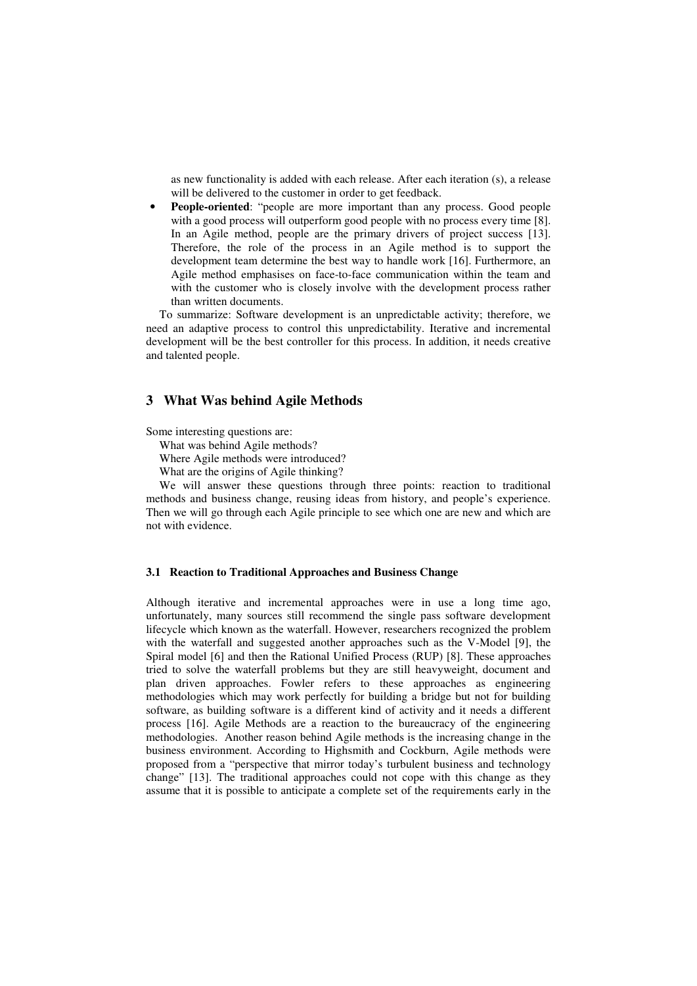as new functionality is added with each release. After each iteration (s), a release will be delivered to the customer in order to get feedback.

• **People-oriented**: "people are more important than any process. Good people with a good process will outperform good people with no process every time [8]. In an Agile method, people are the primary drivers of project success [13]. Therefore, the role of the process in an Agile method is to support the development team determine the best way to handle work [16]. Furthermore, an Agile method emphasises on face-to-face communication within the team and with the customer who is closely involve with the development process rather than written documents.

To summarize: Software development is an unpredictable activity; therefore, we need an adaptive process to control this unpredictability. Iterative and incremental development will be the best controller for this process. In addition, it needs creative and talented people.

#### **3 What Was behind Agile Methods**

Some interesting questions are:

What was behind Agile methods?

Where Agile methods were introduced?

What are the origins of Agile thinking?

We will answer these questions through three points: reaction to traditional methods and business change, reusing ideas from history, and people's experience. Then we will go through each Agile principle to see which one are new and which are not with evidence.

#### **3.1 Reaction to Traditional Approaches and Business Change**

Although iterative and incremental approaches were in use a long time ago, unfortunately, many sources still recommend the single pass software development lifecycle which known as the waterfall. However, researchers recognized the problem with the waterfall and suggested another approaches such as the V-Model [9], the Spiral model [6] and then the Rational Unified Process (RUP) [8]. These approaches tried to solve the waterfall problems but they are still heavyweight, document and plan driven approaches. Fowler refers to these approaches as engineering methodologies which may work perfectly for building a bridge but not for building software, as building software is a different kind of activity and it needs a different process [16]. Agile Methods are a reaction to the bureaucracy of the engineering methodologies. Another reason behind Agile methods is the increasing change in the business environment. According to Highsmith and Cockburn, Agile methods were proposed from a "perspective that mirror today's turbulent business and technology change" [13]. The traditional approaches could not cope with this change as they assume that it is possible to anticipate a complete set of the requirements early in the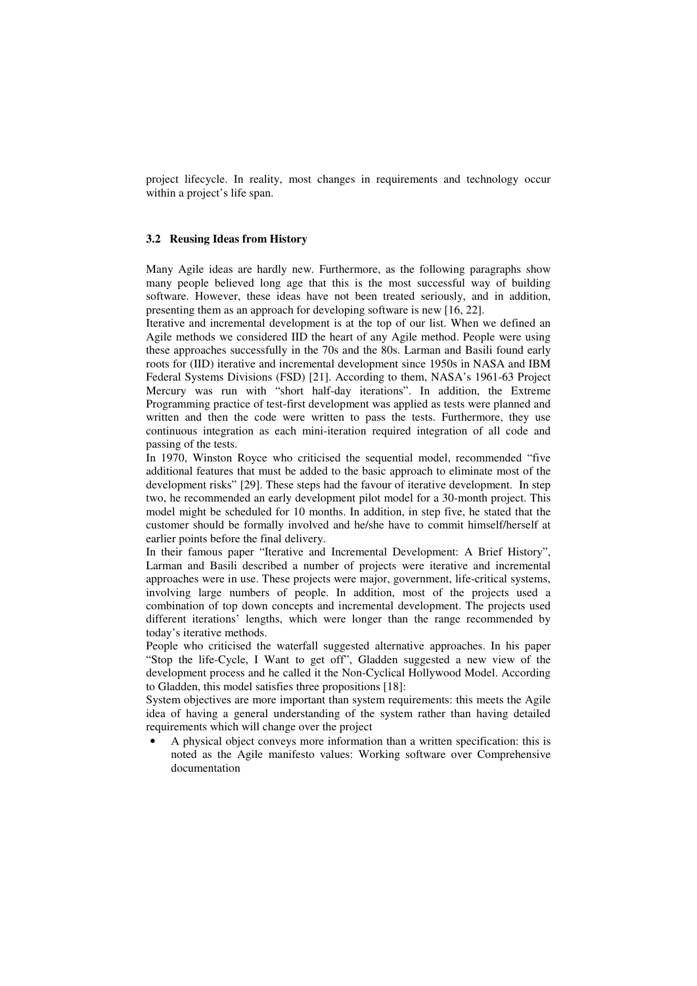project lifecycle. In reality, most changes in requirements and technology occur within a project's life span.

#### **3.2 Reusing Ideas from History**

Many Agile ideas are hardly new. Furthermore, as the following paragraphs show many people believed long age that this is the most successful way of building software. However, these ideas have not been treated seriously, and in addition, presenting them as an approach for developing software is new [16, 22].

Iterative and incremental development is at the top of our list. When we defined an Agile methods we considered IID the heart of any Agile method. People were using these approaches successfully in the 70s and the 80s. Larman and Basili found early roots for (IID) iterative and incremental development since 1950s in NASA and IBM Federal Systems Divisions (FSD) [21]. According to them, NASA's 1961-63 Project Mercury was run with "short half-day iterations". In addition, the Extreme Programming practice of test-first development was applied as tests were planned and written and then the code were written to pass the tests. Furthermore, they use continuous integration as each mini-iteration required integration of all code and passing of the tests.

In 1970, Winston Royce who criticised the sequential model, recommended "five additional features that must be added to the basic approach to eliminate most of the development risks" [29]. These steps had the favour of iterative development. In step two, he recommended an early development pilot model for a 30-month project. This model might be scheduled for 10 months. In addition, in step five, he stated that the customer should be formally involved and he/she have to commit himself/herself at earlier points before the final delivery.

In their famous paper "Iterative and Incremental Development: A Brief History", Larman and Basili described a number of projects were iterative and incremental approaches were in use. These projects were major, government, life-critical systems, involving large numbers of people. In addition, most of the projects used a combination of top down concepts and incremental development. The projects used different iterations' lengths, which were longer than the range recommended by today's iterative methods.

People who criticised the waterfall suggested alternative approaches. In his paper "Stop the life-Cycle, I Want to get off", Gladden suggested a new view of the development process and he called it the Non-Cyclical Hollywood Model. According to Gladden, this model satisfies three propositions [18]:

System objectives are more important than system requirements: this meets the Agile idea of having a general understanding of the system rather than having detailed requirements which will change over the project

• A physical object conveys more information than a written specification: this is noted as the Agile manifesto values: Working software over Comprehensive documentation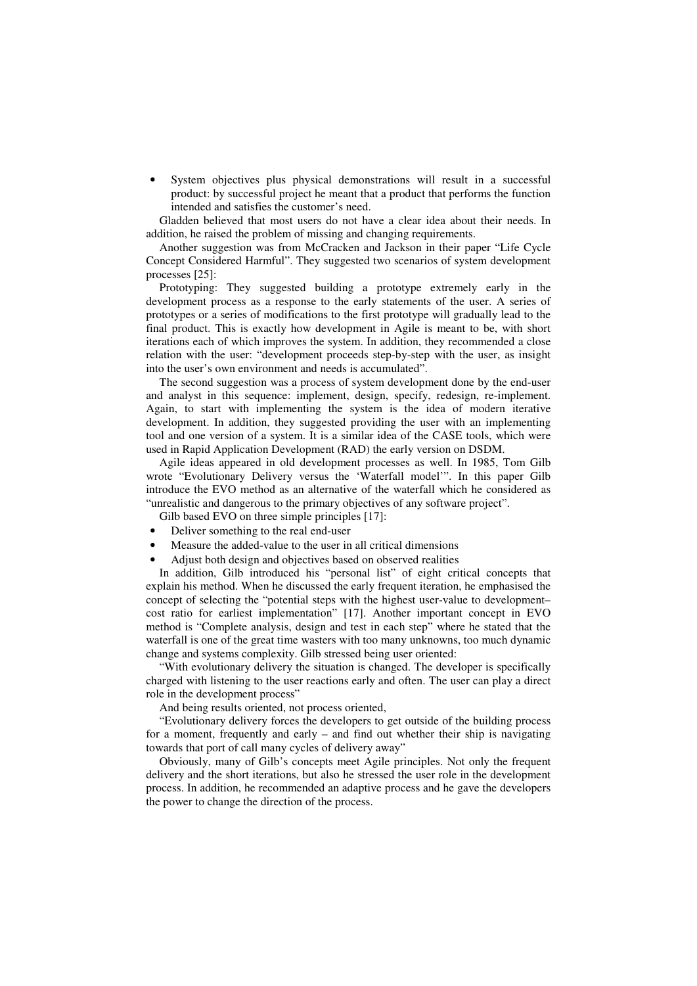System objectives plus physical demonstrations will result in a successful product: by successful project he meant that a product that performs the function intended and satisfies the customer's need.

Gladden believed that most users do not have a clear idea about their needs. In addition, he raised the problem of missing and changing requirements.

Another suggestion was from McCracken and Jackson in their paper "Life Cycle Concept Considered Harmful". They suggested two scenarios of system development processes [25]:

Prototyping: They suggested building a prototype extremely early in the development process as a response to the early statements of the user. A series of prototypes or a series of modifications to the first prototype will gradually lead to the final product. This is exactly how development in Agile is meant to be, with short iterations each of which improves the system. In addition, they recommended a close relation with the user: "development proceeds step-by-step with the user, as insight into the user's own environment and needs is accumulated".

The second suggestion was a process of system development done by the end-user and analyst in this sequence: implement, design, specify, redesign, re-implement. Again, to start with implementing the system is the idea of modern iterative development. In addition, they suggested providing the user with an implementing tool and one version of a system. It is a similar idea of the CASE tools, which were used in Rapid Application Development (RAD) the early version on DSDM.

Agile ideas appeared in old development processes as well. In 1985, Tom Gilb wrote "Evolutionary Delivery versus the 'Waterfall model'". In this paper Gilb introduce the EVO method as an alternative of the waterfall which he considered as "unrealistic and dangerous to the primary objectives of any software project".

Gilb based EVO on three simple principles [17]:

- Deliver something to the real end-user
- Measure the added-value to the user in all critical dimensions
- Adjust both design and objectives based on observed realities

In addition, Gilb introduced his "personal list" of eight critical concepts that explain his method. When he discussed the early frequent iteration, he emphasised the concept of selecting the "potential steps with the highest user-value to development– cost ratio for earliest implementation" [17]. Another important concept in EVO method is "Complete analysis, design and test in each step" where he stated that the waterfall is one of the great time wasters with too many unknowns, too much dynamic change and systems complexity. Gilb stressed being user oriented:

"With evolutionary delivery the situation is changed. The developer is specifically charged with listening to the user reactions early and often. The user can play a direct role in the development process"

And being results oriented, not process oriented,

"Evolutionary delivery forces the developers to get outside of the building process for a moment, frequently and early – and find out whether their ship is navigating towards that port of call many cycles of delivery away"

Obviously, many of Gilb's concepts meet Agile principles. Not only the frequent delivery and the short iterations, but also he stressed the user role in the development process. In addition, he recommended an adaptive process and he gave the developers the power to change the direction of the process.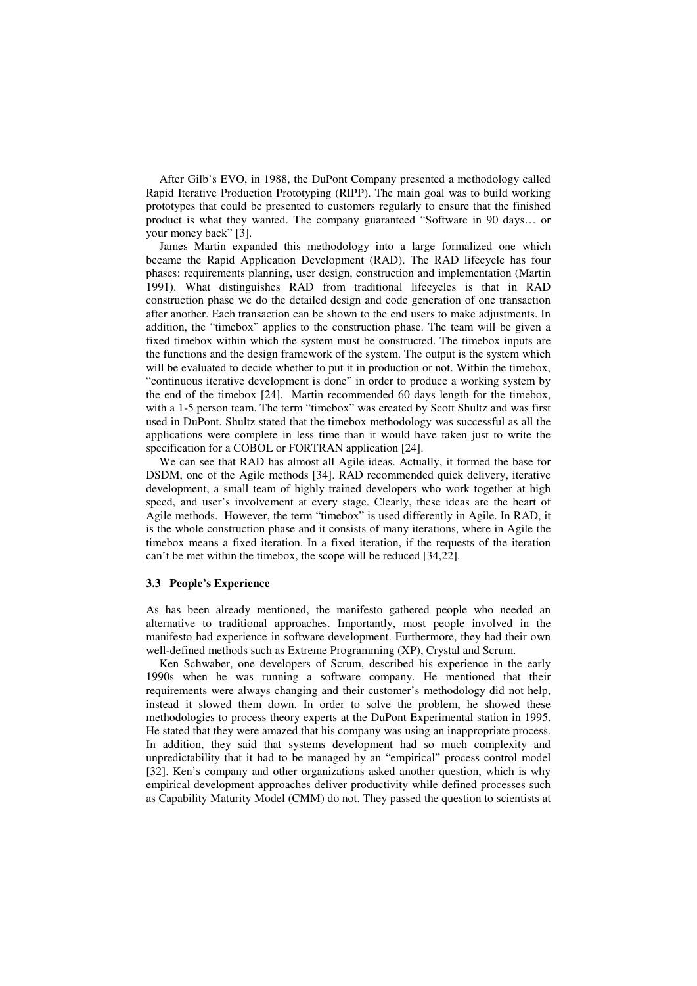After Gilb's EVO, in 1988, the DuPont Company presented a methodology called Rapid Iterative Production Prototyping (RIPP). The main goal was to build working prototypes that could be presented to customers regularly to ensure that the finished product is what they wanted. The company guaranteed "Software in 90 days… or your money back" [3].

James Martin expanded this methodology into a large formalized one which became the Rapid Application Development (RAD). The RAD lifecycle has four phases: requirements planning, user design, construction and implementation (Martin 1991). What distinguishes RAD from traditional lifecycles is that in RAD construction phase we do the detailed design and code generation of one transaction after another. Each transaction can be shown to the end users to make adjustments. In addition, the "timebox" applies to the construction phase. The team will be given a fixed timebox within which the system must be constructed. The timebox inputs are the functions and the design framework of the system. The output is the system which will be evaluated to decide whether to put it in production or not. Within the timebox, "continuous iterative development is done" in order to produce a working system by the end of the timebox [24]. Martin recommended 60 days length for the timebox, with a 1-5 person team. The term "timebox" was created by Scott Shultz and was first used in DuPont. Shultz stated that the timebox methodology was successful as all the applications were complete in less time than it would have taken just to write the specification for a COBOL or FORTRAN application [24].

We can see that RAD has almost all Agile ideas. Actually, it formed the base for DSDM, one of the Agile methods [34]. RAD recommended quick delivery, iterative development, a small team of highly trained developers who work together at high speed, and user's involvement at every stage. Clearly, these ideas are the heart of Agile methods. However, the term "timebox" is used differently in Agile. In RAD, it is the whole construction phase and it consists of many iterations, where in Agile the timebox means a fixed iteration. In a fixed iteration, if the requests of the iteration can't be met within the timebox, the scope will be reduced [34,22].

#### **3.3 People's Experience**

As has been already mentioned, the manifesto gathered people who needed an alternative to traditional approaches. Importantly, most people involved in the manifesto had experience in software development. Furthermore, they had their own well-defined methods such as Extreme Programming (XP), Crystal and Scrum.

Ken Schwaber, one developers of Scrum, described his experience in the early 1990s when he was running a software company. He mentioned that their requirements were always changing and their customer's methodology did not help, instead it slowed them down. In order to solve the problem, he showed these methodologies to process theory experts at the DuPont Experimental station in 1995. He stated that they were amazed that his company was using an inappropriate process. In addition, they said that systems development had so much complexity and unpredictability that it had to be managed by an "empirical" process control model [32]. Ken's company and other organizations asked another question, which is why empirical development approaches deliver productivity while defined processes such as Capability Maturity Model (CMM) do not. They passed the question to scientists at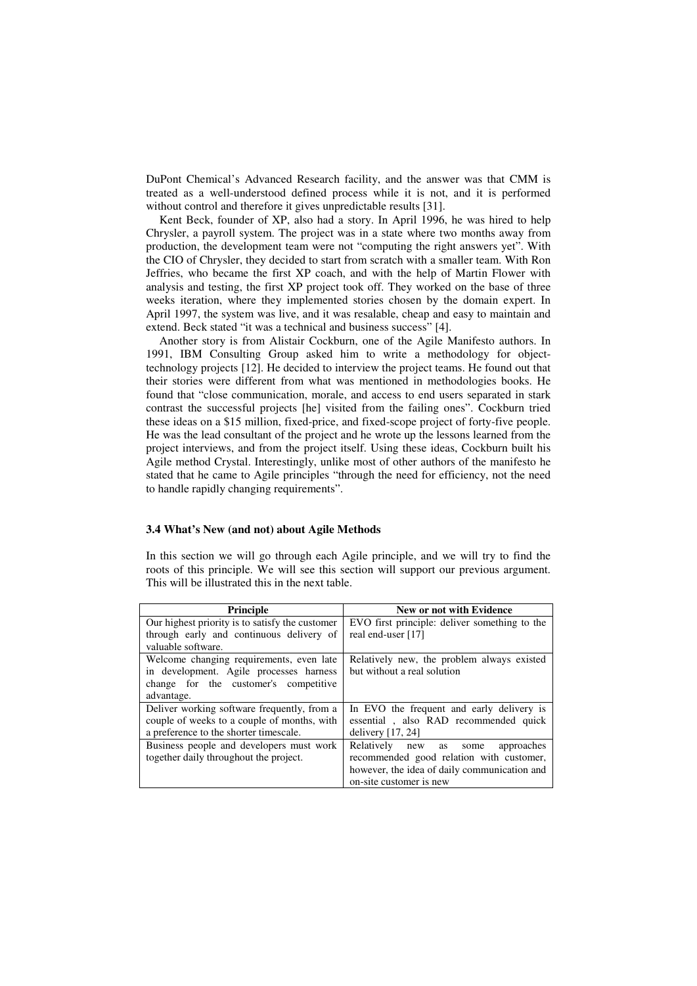DuPont Chemical's Advanced Research facility, and the answer was that CMM is treated as a well-understood defined process while it is not, and it is performed without control and therefore it gives unpredictable results [31].

Kent Beck, founder of XP, also had a story. In April 1996, he was hired to help Chrysler, a payroll system. The project was in a state where two months away from production, the development team were not "computing the right answers yet". With the CIO of Chrysler, they decided to start from scratch with a smaller team. With Ron Jeffries, who became the first XP coach, and with the help of Martin Flower with analysis and testing, the first XP project took off. They worked on the base of three weeks iteration, where they implemented stories chosen by the domain expert. In April 1997, the system was live, and it was resalable, cheap and easy to maintain and extend. Beck stated "it was a technical and business success" [4].

Another story is from Alistair Cockburn, one of the Agile Manifesto authors. In 1991, IBM Consulting Group asked him to write a methodology for objecttechnology projects [12]. He decided to interview the project teams. He found out that their stories were different from what was mentioned in methodologies books. He found that "close communication, morale, and access to end users separated in stark contrast the successful projects [he] visited from the failing ones". Cockburn tried these ideas on a \$15 million, fixed-price, and fixed-scope project of forty-five people. He was the lead consultant of the project and he wrote up the lessons learned from the project interviews, and from the project itself. Using these ideas, Cockburn built his Agile method Crystal. Interestingly, unlike most of other authors of the manifesto he stated that he came to Agile principles "through the need for efficiency, not the need to handle rapidly changing requirements".

#### **3.4 What's New (and not) about Agile Methods**

In this section we will go through each Agile principle, and we will try to find the roots of this principle. We will see this section will support our previous argument. This will be illustrated this in the next table.

| <b>Principle</b>                                | New or not with Evidence                      |
|-------------------------------------------------|-----------------------------------------------|
| Our highest priority is to satisfy the customer | EVO first principle: deliver something to the |
| through early and continuous delivery of        | real end-user [17]                            |
| valuable software.                              |                                               |
| Welcome changing requirements, even late        | Relatively new, the problem always existed    |
| in development. Agile processes harness         | but without a real solution                   |
| change for the customer's competitive           |                                               |
| advantage.                                      |                                               |
| Deliver working software frequently, from a     | In EVO the frequent and early delivery is     |
| couple of weeks to a couple of months, with     | essential, also RAD recommended quick         |
| a preference to the shorter timescale.          | delivery $[17, 24]$                           |
| Business people and developers must work        | Relatively<br>approaches<br>new<br>as<br>some |
| together daily throughout the project.          | recommended good relation with customer,      |
|                                                 | however, the idea of daily communication and  |
|                                                 | on-site customer is new                       |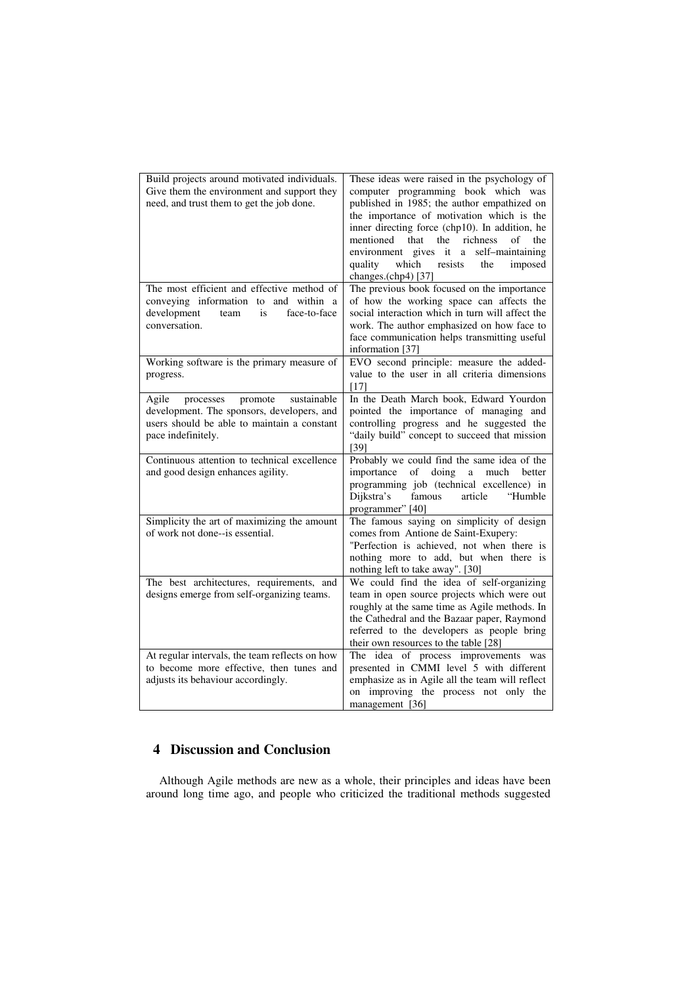| Build projects around motivated individuals.<br>Give them the environment and support they<br>need, and trust them to get the job done.                         | These ideas were raised in the psychology of<br>computer programming book which was<br>published in 1985; the author empathized on<br>the importance of motivation which is the<br>inner directing force (chp10). In addition, he<br>richness<br>mentioned<br>that<br>the<br>of<br>the<br>environment gives it a self-maintaining<br>quality<br>which<br>resists<br>the<br>imposed<br>changes.(chp4) [37] |
|-----------------------------------------------------------------------------------------------------------------------------------------------------------------|-----------------------------------------------------------------------------------------------------------------------------------------------------------------------------------------------------------------------------------------------------------------------------------------------------------------------------------------------------------------------------------------------------------|
| The most efficient and effective method of<br>conveying information to and within a<br>development<br>team<br>is<br>face-to-face<br>conversation.               | The previous book focused on the importance<br>of how the working space can affects the<br>social interaction which in turn will affect the<br>work. The author emphasized on how face to<br>face communication helps transmitting useful<br>information [37]                                                                                                                                             |
| Working software is the primary measure of<br>progress.                                                                                                         | EVO second principle: measure the added-<br>value to the user in all criteria dimensions<br>[17]                                                                                                                                                                                                                                                                                                          |
| promote<br>sustainable<br>Agile<br>processes<br>development. The sponsors, developers, and<br>users should be able to maintain a constant<br>pace indefinitely. | In the Death March book, Edward Yourdon<br>pointed the importance of managing and<br>controlling progress and he suggested the<br>"daily build" concept to succeed that mission<br>[39]                                                                                                                                                                                                                   |
| Continuous attention to technical excellence<br>and good design enhances agility.                                                                               | Probably we could find the same idea of the<br>importance<br>doing<br>of<br>a<br>much<br>better<br>programming job (technical excellence) in<br>Dijkstra's<br>famous<br>"Humble<br>article<br>programmer" [40]                                                                                                                                                                                            |
| Simplicity the art of maximizing the amount<br>of work not done--is essential.                                                                                  | The famous saying on simplicity of design<br>comes from Antione de Saint-Exupery:<br>"Perfection is achieved, not when there is<br>nothing more to add, but when there is<br>nothing left to take away". [30]                                                                                                                                                                                             |
| The best architectures, requirements, and<br>designs emerge from self-organizing teams.                                                                         | We could find the idea of self-organizing<br>team in open source projects which were out<br>roughly at the same time as Agile methods. In<br>the Cathedral and the Bazaar paper, Raymond<br>referred to the developers as people bring<br>their own resources to the table [28]                                                                                                                           |
| At regular intervals, the team reflects on how<br>to become more effective, then tunes and<br>adjusts its behaviour accordingly.                                | The idea of process improvements was<br>presented in CMMI level 5 with different<br>emphasize as in Agile all the team will reflect<br>on improving the process not only the<br>management [36]                                                                                                                                                                                                           |

## **4 Discussion and Conclusion**

Although Agile methods are new as a whole, their principles and ideas have been around long time ago, and people who criticized the traditional methods suggested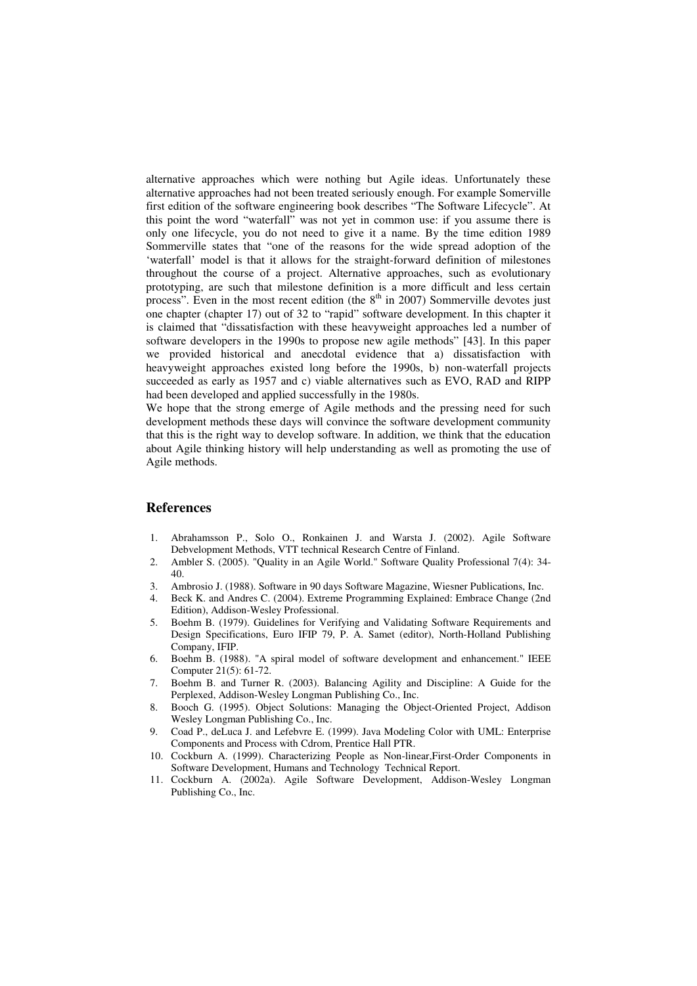alternative approaches which were nothing but Agile ideas. Unfortunately these alternative approaches had not been treated seriously enough. For example Somerville first edition of the software engineering book describes "The Software Lifecycle". At this point the word "waterfall" was not yet in common use: if you assume there is only one lifecycle, you do not need to give it a name. By the time edition 1989 Sommerville states that "one of the reasons for the wide spread adoption of the 'waterfall' model is that it allows for the straight-forward definition of milestones throughout the course of a project. Alternative approaches, such as evolutionary prototyping, are such that milestone definition is a more difficult and less certain process". Even in the most recent edition (the  $8<sup>th</sup>$  in 2007) Sommerville devotes just one chapter (chapter 17) out of 32 to "rapid" software development. In this chapter it is claimed that "dissatisfaction with these heavyweight approaches led a number of software developers in the 1990s to propose new agile methods" [43]. In this paper we provided historical and anecdotal evidence that a) dissatisfaction with heavyweight approaches existed long before the 1990s, b) non-waterfall projects succeeded as early as 1957 and c) viable alternatives such as EVO, RAD and RIPP had been developed and applied successfully in the 1980s.

We hope that the strong emerge of Agile methods and the pressing need for such development methods these days will convince the software development community that this is the right way to develop software. In addition, we think that the education about Agile thinking history will help understanding as well as promoting the use of Agile methods.

## **References**

- 1. Abrahamsson P., Solo O., Ronkainen J. and Warsta J. (2002). Agile Software Debvelopment Methods, VTT technical Research Centre of Finland.
- 2. Ambler S. (2005). "Quality in an Agile World." Software Quality Professional 7(4): 34- 40.
- 3. Ambrosio J. (1988). Software in 90 days Software Magazine, Wiesner Publications, Inc.
- 4. Beck K. and Andres C. (2004). Extreme Programming Explained: Embrace Change (2nd Edition), Addison-Wesley Professional.
- 5. Boehm B. (1979). Guidelines for Verifying and Validating Software Requirements and Design Specifications, Euro IFIP 79, P. A. Samet (editor), North-Holland Publishing Company, IFIP.
- 6. Boehm B. (1988). "A spiral model of software development and enhancement." IEEE Computer 21(5): 61-72.
- 7. Boehm B. and Turner R. (2003). Balancing Agility and Discipline: A Guide for the Perplexed, Addison-Wesley Longman Publishing Co., Inc.
- 8. Booch G. (1995). Object Solutions: Managing the Object-Oriented Project, Addison Wesley Longman Publishing Co., Inc.
- 9. Coad P., deLuca J. and Lefebvre E. (1999). Java Modeling Color with UML: Enterprise Components and Process with Cdrom, Prentice Hall PTR.
- 10. Cockburn A. (1999). Characterizing People as Non-linear,First-Order Components in Software Development, Humans and Technology Technical Report.
- 11. Cockburn A. (2002a). Agile Software Development, Addison-Wesley Longman Publishing Co., Inc.